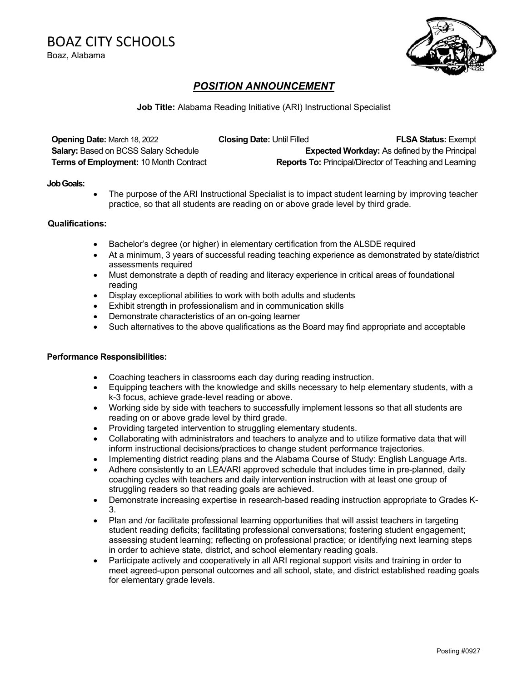BOAZ CITY SCHOOLS Boaz, Alabama

## *POSITION ANNOUNCEMENT*

**Job Title:** Alabama Reading Initiative (ARI) Instructional Specialist

| <b>Opening Date: March 18, 2022</b>           | <b>Closing Date: Until Filled</b> | <b>FLSA Status: Exempt</b>                                     |
|-----------------------------------------------|-----------------------------------|----------------------------------------------------------------|
| <b>Salary: Based on BCSS Salary Schedule</b>  |                                   | <b>Expected Workday:</b> As defined by the Principal           |
| <b>Terms of Employment: 10 Month Contract</b> |                                   | <b>Reports To: Principal/Director of Teaching and Learning</b> |

#### **Job Goals:**

The purpose of the ARI Instructional Specialist is to impact student learning by improving teacher practice, so that all students are reading on or above grade level by third grade.

#### **Qualifications:**

- Bachelor's degree (or higher) in elementary certification from the ALSDE required
- At a minimum, 3 years of successful reading teaching experience as demonstrated by state/district assessments required
- Must demonstrate a depth of reading and literacy experience in critical areas of foundational reading
- Display exceptional abilities to work with both adults and students
- Exhibit strength in professionalism and in communication skills
- Demonstrate characteristics of an on-going learner
- Such alternatives to the above qualifications as the Board may find appropriate and acceptable

### **Performance Responsibilities:**

- Coaching teachers in classrooms each day during reading instruction.
- Equipping teachers with the knowledge and skills necessary to help elementary students, with a k-3 focus, achieve grade-level reading or above.
- Working side by side with teachers to successfully implement lessons so that all students are reading on or above grade level by third grade.
- Providing targeted intervention to struggling elementary students.
- Collaborating with administrators and teachers to analyze and to utilize formative data that will inform instructional decisions/practices to change student performance trajectories.
- Implementing district reading plans and the Alabama Course of Study: English Language Arts.
- Adhere consistently to an LEA/ARI approved schedule that includes time in pre-planned, daily coaching cycles with teachers and daily intervention instruction with at least one group of struggling readers so that reading goals are achieved.
- Demonstrate increasing expertise in research-based reading instruction appropriate to Grades K-3.
- Plan and /or facilitate professional learning opportunities that will assist teachers in targeting student reading deficits; facilitating professional conversations; fostering student engagement; assessing student learning; reflecting on professional practice; or identifying next learning steps in order to achieve state, district, and school elementary reading goals.
- Participate actively and cooperatively in all ARI regional support visits and training in order to meet agreed-upon personal outcomes and all school, state, and district established reading goals for elementary grade levels.